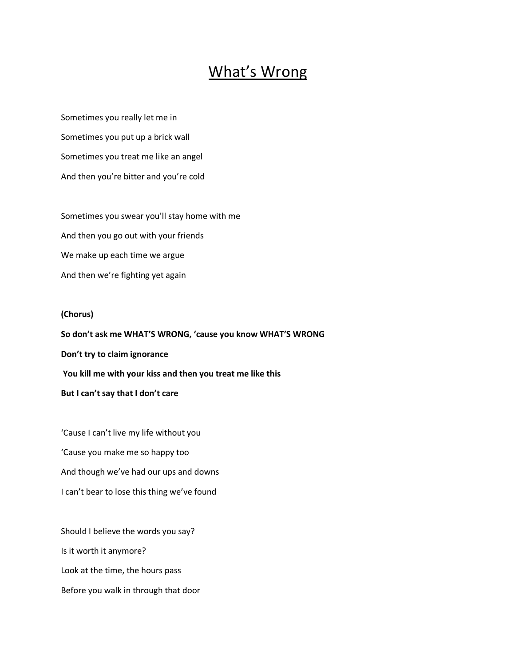## What's Wrong

Sometimes you really let me in Sometimes you put up a brick wall Sometimes you treat me like an angel And then you're bitter and you're cold

Sometimes you swear you'll stay home with me And then you go out with your friends We make up each time we argue And then we're fighting yet again

## **(Chorus)**

**So don't ask me WHAT'S WRONG, 'cause you know WHAT'S WRONG Don't try to claim ignorance You kill me with your kiss and then you treat me like this But I can't say that I don't care**

'Cause I can't live my life without you 'Cause you make me so happy too And though we've had our ups and downs I can't bear to lose this thing we've found

Should I believe the words you say? Is it worth it anymore? Look at the time, the hours pass Before you walk in through that door